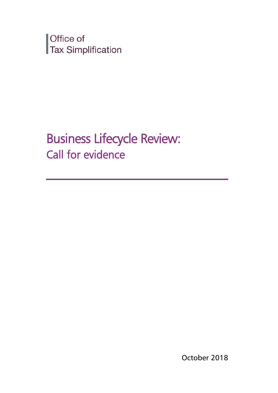Office of Tax Simplification

Business Lifecycle Review: Call for evidence

October 2018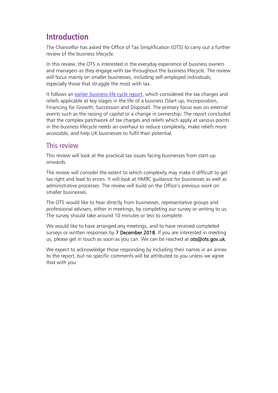# **Introduction**

The Chancellor has asked the Office of Tax Simplification (OTS) to carry out a further review of the business lifecycle.

In this review, the OTS is interested in the everyday experience of business owners and managers as they engage with tax throughout the business lifecycle. The review will focus mainly on smaller businesses, including self-employed individuals, especially those that struggle the most with tax.

It follows an [earlier business life cycle report,](https://www.gov.uk/government/publications/simplifying-the-taxation-of-key-events-in-the-life-of-a-business) which considered the tax charges and reliefs applicable at key stages in the life of a business (Start up, Incorporation, Financing for Growth, Succession and Disposal). The primary focus was on external events such as the raising of capital or a change in ownership. The report concluded that the complex patchwork of tax charges and reliefs which apply at various points in the business lifecycle needs an overhaul to reduce complexity, make reliefs more accessible, and help UK businesses to fulfil their potential.

# This review

This review will look at the practical tax issues facing businesses from start-up onwards.

The review will consider the extent to which complexity may make it difficult to get tax right and lead to errors. It will look at HMRC guidance for businesses as well as administrative processes. The review will build on the Office's previous work on smaller businesses.

The OTS would like to hear directly from businesses, representative groups and professional advisers, either in meetings, by completing our survey or writing to us. The survey should take around 10 minutes or less to complete.

We would like to have arranged any meetings, and to have received completed surveys or written responses by 7 December 2018. If you are interested in meeting us, please get in touch as soon as you can. We can be reached at ots@ots.gov.uk.

We expect to acknowledge those responding by including their names in an annex to the report, but no specific comments will be attributed to you unless we agree that with you.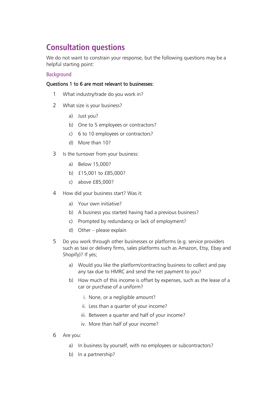# **Consultation questions**

We do not want to constrain your response, but the following questions may be a helpful starting point:

### Background

# Questions 1 to 6 are most relevant to businesses:

- 1 What industry/trade do you work in?
- 2 What size is your business?
	- a) Just you?
	- b) One to 5 employees or contractors?
	- c) 6 to 10 employees or contractors?
	- d) More than 10?
- 3 Is the turnover from your business:
	- a) Below 15,000?
	- b) £15,001 to £85,000?
	- c) above £85,000?
- 4 How did your business start? Was it:
	- a) Your own initiative?
	- b) A business you started having had a previous business?
	- c) Prompted by redundancy or lack of employment?
	- d) Other please explain
- 5 Do you work through other businesses or platforms (e.g. service providers such as taxi or delivery firms, sales platforms such as Amazon, Etsy, Ebay and Shopify)? If yes;
	- a) Would you like the platform/contracting business to collect and pay any tax due to HMRC and send the net payment to you?
	- b) How much of this income is offset by expenses, such as the lease of a car or purchase of a uniform?
		- i. None, or a negligible amount?
		- ii. Less than a quarter of your income?
		- iii. Between a quarter and half of your income?
		- iv. More than half of your income?
- 6 Are you:
	- a) In business by yourself, with no employees or subcontractors?
	- b) In a partnership?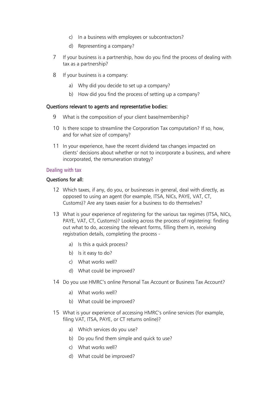- c) In a business with employees or subcontractors?
- d) Representing a company?
- 7 If your business is a partnership, how do you find the process of dealing with tax as a partnership?
- 8 If your business is a company:
	- a) Why did you decide to set up a company?
	- b) How did you find the process of setting up a company?

### Questions relevant to agents and representative bodies:

- 9 What is the composition of your client base/membership?
- 10 Is there scope to streamline the Corporation Tax computation? If so, how, and for what size of company?
- 11 In your experience, have the recent dividend tax changes impacted on clients' decisions about whether or not to incorporate a business, and where incorporated, the remuneration strategy?

# Dealing with tax

# Questions for all:

- 12 Which taxes, if any, do you, or businesses in general, deal with directly, as opposed to using an agent (for example, ITSA, NICs, PAYE, VAT, CT, Customs)? Are any taxes easier for a business to do themselves?
- 13 What is your experience of registering for the various tax regimes (ITSA, NICs, PAYE, VAT, CT, Customs)? Looking across the process of registering: finding out what to do, accessing the relevant forms, filling them in, receiving registration details, completing the process
	- a) Is this a quick process?
	- b) Is it easy to do?
	- c) What works well?
	- d) What could be improved?
- 14 Do you use HMRC's online Personal Tax Account or Business Tax Account?
	- a) What works well?
	- b) What could be improved?
- 15 What is your experience of accessing HMRC's online services (for example, filing VAT, ITSA, PAYE, or CT returns online)?
	- a) Which services do you use?
	- b) Do you find them simple and quick to use?
	- c) What works well?
	- d) What could be improved?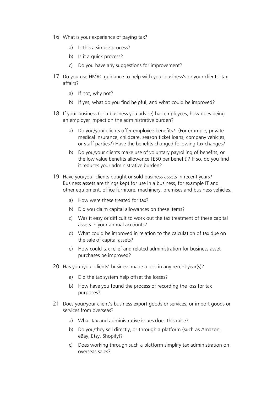- 16 What is your experience of paying tax?
	- a) Is this a simple process?
	- b) Is it a quick process?
	- c) Do you have any suggestions for improvement?
- 17 Do you use HMRC guidance to help with your business's or your clients' tax affairs?
	- a) If not, why not?
	- b) If yes, what do you find helpful, and what could be improved?
- 18 If your business (or a business you advise) has employees, how does being an employer impact on the administrative burden?
	- a) Do you/your clients offer employee benefits? (For example, private medical insurance, childcare, season ticket loans, company vehicles, or staff parties?) Have the benefits changed following tax changes?
	- b) Do you/your clients make use of voluntary payrolling of benefits, or the low value benefits allowance (£50 per benefit)? If so, do you find it reduces your administrative burden?
- 19 Have you/your clients bought or sold business assets in recent years? Business assets are things kept for use in a business, for example IT and other equipment, office furniture, machinery, premises and business vehicles.
	- a) How were these treated for tax?
	- b) Did you claim capital allowances on these items?
	- c) Was it easy or difficult to work out the tax treatment of these capital assets in your annual accounts?
	- d) What could be improved in relation to the calculation of tax due on the sale of capital assets?
	- e) How could tax relief and related administration for business asset purchases be improved?
- 20 Has your/your clients' business made a loss in any recent year(s)?
	- a) Did the tax system help offset the losses?
	- b) How have you found the process of recording the loss for tax purposes?
- 21 Does your/your client's business export goods or services, or import goods or services from overseas?
	- a) What tax and administrative issues does this raise?
	- b) Do you/they sell directly, or through a platform (such as Amazon, eBay, Etsy, Shopify)?
	- c) Does working through such a platform simplify tax administration on overseas sales?